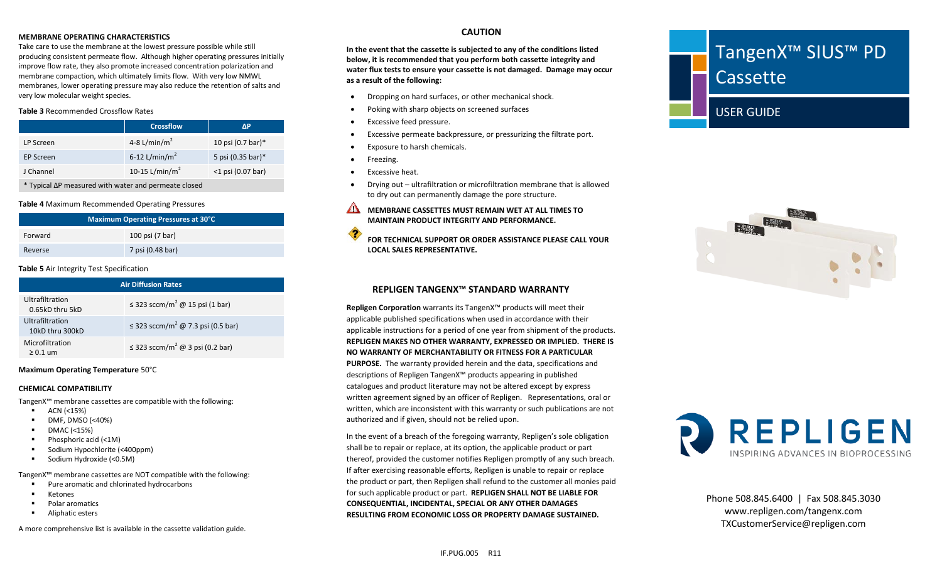#### **MEMBRANE OPERATING CHARACTERISTICS**

Take care to use the membrane at the lowest pressure possible while still producing consistent permeate flow. Although higher operating pressures initially improve flow rate, they also promote increased concentration polarization and membrane compaction, which ultimately limits flow. With very low NMWL membranes, lower operating pressure may also reduce the retention of salts and very low molecular weight species.

#### **Table 3** Recommended Crossflow Rates

|           | <b>Crossflow</b>           | ΛP                           |
|-----------|----------------------------|------------------------------|
| LP Screen | 4-8 L/min/m <sup>2</sup>   | 10 psi $(0.7 \text{ bar})^*$ |
| EP Screen | 6-12 L/min/m <sup>2</sup>  | 5 psi (0.35 bar)*            |
| J Channel | 10-15 L/min/m <sup>2</sup> | $<$ 1 psi (0.07 bar)         |

\* Typical ∆P measured with water and permeate closed

#### **Table 4** Maximum Recommended Operating Pressures

| Maximum Operating Pressures at 30°C |                  |  |
|-------------------------------------|------------------|--|
| Forward                             | 100 psi (7 bar)  |  |
| Reverse                             | 7 psi (0.48 bar) |  |

#### **Table 5** Air Integrity Test Specification

| <b>Air Diffusion Rates</b>         |                                                  |  |
|------------------------------------|--------------------------------------------------|--|
| Ultrafiltration<br>0.65kD thru 5kD | $\leq$ 323 sccm/m <sup>2</sup> @ 15 psi (1 bar)  |  |
| Ultrafiltration<br>10kD thru 300kD | ≤ 323 sccm/m <sup>2</sup> @ 7.3 psi (0.5 bar)    |  |
| Microfiltration<br>$\geq 0.1$ um   | $\leq$ 323 sccm/m <sup>2</sup> @ 3 psi (0.2 bar) |  |

#### **Maximum Operating Temperature** 50°C

#### **CHEMICAL COMPATIBILITY**

TangenX™ membrane cassettes are compatible with the following:

- $\blacksquare$  ACN (<15%)
- DMF, DMSO (<40%)
- DMAC (<15%)
- Phosphoric acid (<1M)
- Sodium Hypochlorite (<400ppm)
- Sodium Hydroxide (<0.5M)

TangenX™ membrane cassettes are NOT compatible with the following:

- **Pure aromatic and chlorinated hydrocarbons**
- **EXECUTE:**
- **Polar aromatics**
- Aliphatic esters

A more comprehensive list is available in the cassette validation guide.

## **CAUTION**

**In the event that the cassette is subjected to any of the conditions listed below, it is recommended that you perform both cassette integrity and water flux tests to ensure your cassette is not damaged. Damage may occur as a result of the following:**

- Dropping on hard surfaces, or other mechanical shock.
- Poking with sharp objects on screened surfaces
- Excessive feed pressure.
- Excessive permeate backpressure, or pressurizing the filtrate port.
- Exposure to harsh chemicals.
- Freezing.
- Excessive heat.
- Drying out ultrafiltration or microfiltration membrane that is allowed to dry out can permanently damage the pore structure.
- **MEMBRANE CASSETTES MUST REMAIN WET AT ALL TIMES TO MAINTAIN PRODUCT INTEGRITY AND PERFORMANCE.**
- ⊲ **FOR TECHNICAL SUPPORT OR ORDER ASSISTANCE PLEASE CALL YOUR LOCAL SALES REPRESENTATIVE.**

## **REPLIGEN TANGENX™ STANDARD WARRANTY**

**Repligen Corporation** warrants its TangenX™ products will meet their applicable published specifications when used in accordance with their applicable instructions for a period of one year from shipment of the products. **REPLIGEN MAKES NO OTHER WARRANTY, EXPRESSED OR IMPLIED. THERE IS NO WARRANTY OF MERCHANTABILITY OR FITNESS FOR A PARTICULAR PURPOSE.** The warranty provided herein and the data, specifications and descriptions of Repligen TangenX™ products appearing in published catalogues and product literature may not be altered except by express written agreement signed by an officer of Repligen. Representations, oral or written, which are inconsistent with this warranty or such publications are not authorized and if given, should not be relied upon.

In the event of a breach of the foregoing warranty, Repligen's sole obligation shall be to repair or replace, at its option, the applicable product or part thereof, provided the customer notifies Repligen promptly of any such breach. If after exercising reasonable efforts, Repligen is unable to repair or replace the product or part, then Repligen shall refund to the customer all monies paid for such applicable product or part. **REPLIGEN SHALL NOT BE LIABLE FOR CONSEQUENTIAL, INCIDENTAL, SPECIAL OR ANY OTHER DAMAGES RESULTING FROM ECONOMIC LOSS OR PROPERTY DAMAGE SUSTAINED.**







Phone 508.845.6400 | Fax 508.845.3030 www.repligen.com/tangenx.com TXCustomerService@repligen.com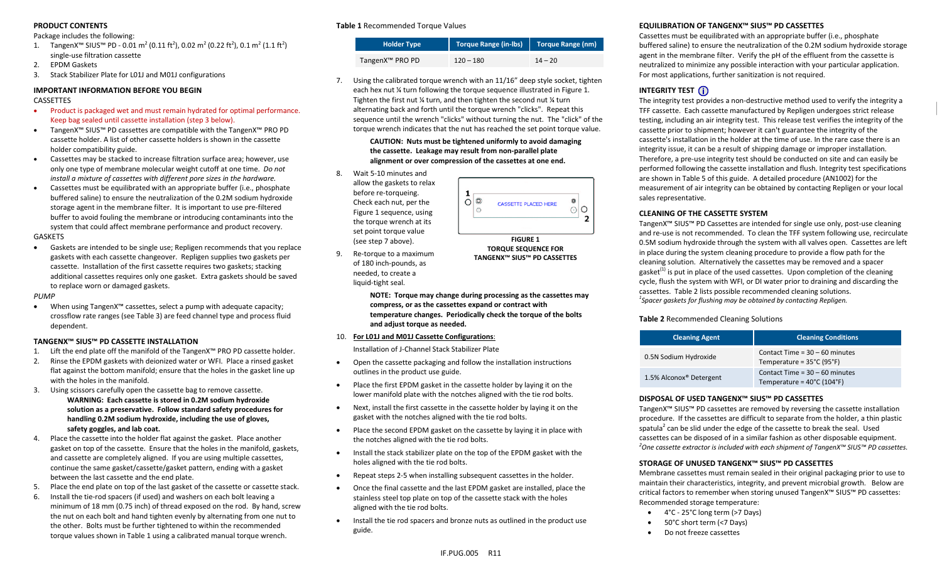#### **PRODUCT CONTENTS**

#### Package includes the following:

- 1. TangenX™ SIUS™ PD 0.01 m<sup>2</sup> (0.11 ft<sup>2</sup>), 0.02 m<sup>2</sup> (0.22 ft<sup>2</sup>), 0.1 m<sup>2</sup> (1.1 ft<sup>2</sup>) single-use filtration cassette
- 2. EPDM Gaskets
- 3. Stack Stabilizer Plate for L01J and M01J configurations

#### **IMPORTANT INFORMATION BEFORE YOU BEGIN**

#### CASSETTES

- Product is packaged wet and must remain hydrated for optimal performance. Keep bag sealed until cassette installation (step 3 below).
- TangenX™ SIUS™ PD cassettes are compatible with the TangenX™ PRO PD cassette holder. A list of other cassette holders is shown in the cassette holder compatibility guide.
- Cassettes may be stacked to increase filtration surface area; however, use only one type of membrane molecular weight cutoff at one time. *Do not install a mixture of cassettes with different pore sizes in the hardware.*
- Cassettes must be equilibrated with an appropriate buffer (i.e., phosphate buffered saline) to ensure the neutralization of the 0.2M sodium hydroxide storage agent in the membrane filter. It is important to use pre-filtered buffer to avoid fouling the membrane or introducing contaminants into the system that could affect membrane performance and product recovery. GASKETS
- Gaskets are intended to be single use; Repligen recommends that you replace gaskets with each cassette changeover. Repligen supplies two gaskets per cassette. Installation of the first cassette requires two gaskets; stacking additional cassettes requires only one gasket. Extra gaskets should be saved to replace worn or damaged gaskets.

#### *PUMP*

• When using TangenX™ cassettes, select a pump with adequate capacity; crossflow rate ranges (see Table 3) are feed channel type and process fluid dependent.

#### **TANGENX™ SIUS™ PD CASSETTE INSTALLATION**

- 1. Lift the end plate off the manifold of the TangenX™ PRO PD cassette holder.
- 2. Rinse the EPDM gaskets with deionized water or WFI. Place a rinsed gasket flat against the bottom manifold; ensure that the holes in the gasket line up with the holes in the manifold.
- 3. Using scissors carefully open the cassette bag to remove cassette. **WARNING: Each cassette is stored in 0.2M sodium hydroxide solution as a preservative. Follow standard safety procedures for handling 0.2M sodium hydroxide, including the use of gloves, safety goggles, and lab coat.**
- 4. Place the cassette into the holder flat against the gasket. Place another gasket on top of the cassette. Ensure that the holes in the manifold, gaskets, and cassette are completely aligned. If you are using multiple cassettes, continue the same gasket/cassette/gasket pattern, ending with a gasket between the last cassette and the end plate.
- 5. Place the end plate on top of the last gasket of the cassette or cassette stack.
- 6. Install the tie-rod spacers (if used) and washers on each bolt leaving a minimum of 18 mm (0.75 inch) of thread exposed on the rod. By hand, screw the nut on each bolt and hand tighten evenly by alternating from one nut to the other. Bolts must be further tightened to within the recommended torque values shown in Table 1 using a calibrated manual torque wrench.

#### **Table 1** Recommended Torque Values

| <b>Holder Type</b>          | Torque Range (in-Ibs)   Torque Range (nm) |           |
|-----------------------------|-------------------------------------------|-----------|
| TangenX <sup>™</sup> PRO PD | $120 - 180$                               | $14 - 20$ |

7. Using the calibrated torque wrench with an 11/16" deep style socket, tighten each hex nut ¼ turn following the torque sequence illustrated in Figure 1. Tighten the first nut ¼ turn, and then tighten the second nut ¼ turn alternating back and forth until the torque wrench "clicks". Repeat this sequence until the wrench "clicks" without turning the nut. The "click" of the torque wrench indicates that the nut has reached the set point torque value.

> **CAUTION: Nuts must be tightened uniformly to avoid damaging the cassette. Leakage may result from non-parallel plate alignment or over compression of the cassettes at one end.**

8. Wait 5-10 minutes and allow the gaskets to relax before re-torqueing. Check each nut, per the Figure 1 sequence, using the torque wrench at its set point torque value (see step 7 above).

9. Re-torque to a maximum of 180 inch-pounds, as



**FIGURE 1 TORQUE SEQUENCE FOR TANGENX™ SIUS™ PD CASSETTES**

- needed, to create a liquid-tight seal. **NOTE: Torque may change during processing as the cassettes may compress, or as the cassettes expand or contract with temperature changes. Periodically check the torque of the bolts**
- **and adjust torque as needed.**  10. **For L01J and M01J Cassette Configurations**:

Installation of J-Channel Stack Stabilizer Plate

- Open the cassette packaging and follow the installation instructions outlines in the product use guide.
- Place the first EPDM gasket in the cassette holder by laying it on the lower manifold plate with the notches aligned with the tie rod bolts.
- Next, install the first cassette in the cassette holder by laying it on the gasket with the notches aligned with the tie rod bolts.
- Place the second EPDM gasket on the cassette by laying it in place with the notches aligned with the tie rod bolts.
- Install the stack stabilizer plate on the top of the EPDM gasket with the holes aligned with the tie rod bolts.
- Repeat steps 2-5 when installing subsequent cassettes in the holder.
- Once the final cassette and the last EPDM gasket are installed, place the stainless steel top plate on top of the cassette stack with the holes aligned with the tie rod bolts.
- Install the tie rod spacers and bronze nuts as outlined in the product use guide.

#### **EQUILIBRATION OF TANGENX™ SIUS™ PD CASSETTES**

Cassettes must be equilibrated with an appropriate buffer (i.e., phosphate buffered saline) to ensure the neutralization of the 0.2M sodium hydroxide storage agent in the membrane filter. Verify the pH of the effluent from the cassette is neutralized to minimize any possible interaction with your particular application. For most applications, further sanitization is not required.

## **INTEGRITY TEST** (i)

The integrity test provides a non-destructive method used to verify the integrity a TFF cassette. Each cassette manufactured by Repligen undergoes strict release testing, including an air integrity test. This release test verifies the integrity of the cassette prior to shipment; however it can't guarantee the integrity of the cassette's installation in the holder at the time of use. In the rare case there is an integrity issue, it can be a result of shipping damage or improper installation. Therefore, a pre-use integrity test should be conducted on site and can easily be performed following the cassette installation and flush. Integrity test specifications are shown in Table 5 of this guide. A detailed procedure (AN1002) for the measurement of air integrity can be obtained by contacting Repligen or your local sales representative.

#### **CLEANING OF THE CASSETTE SYSTEM**

TangenX™ SIUS™ PD Cassettes are intended for single use only, post-use cleaning and re-use is not recommended. To clean the TFF system following use, recirculate 0.5M sodium hydroxide through the system with all valves open. Cassettes are left in place during the system cleaning procedure to provide a flow path for the cleaning solution. Alternatively the cassettes may be removed and a spacer gasket<sup>(1)</sup> is put in place of the used cassettes. Upon completion of the cleaning cycle, flush the system with WFI, or DI water prior to draining and discarding the cassettes. Table 2 lists possible recommended cleaning solutions. *1 Spacer gaskets for flushing may be obtained by contacting Repligen.*

#### **Table 2** Recommended Cleaning Solutions

| <b>Cleaning Agent</b>               | <b>Cleaning Conditions</b>                                                          |
|-------------------------------------|-------------------------------------------------------------------------------------|
| 0.5N Sodium Hydroxide               | Contact Time = $30 - 60$ minutes<br>Temperature = $35^{\circ}$ C (95 $^{\circ}$ F)  |
| 1.5% Alconox <sup>®</sup> Detergent | Contact Time = $30 - 60$ minutes<br>Temperature = $40^{\circ}$ C (104 $^{\circ}$ F) |

#### **DISPOSAL OF USED TANGENX™ SIUS™ PD CASSETTES**

TangenX™ SIUS™ PD cassettes are removed by reversing the cassette installation procedure. If the cassettes are difficult to separate from the holder, a thin plastic spatula<sup>2</sup> can be slid under the edge of the cassette to break the seal. Used cassettes can be disposed of in a similar fashion as other disposable equipment. *<sup>2</sup> One cassette extractor is included with each shipment of TangenX™ SIUS™ PD cassettes.*

#### **STORAGE OF UNUSED TANGENX™ SIUS™ PD CASSETTES**

Membrane cassettes must remain sealed in their original packaging prior to use to maintain their characteristics, integrity, and prevent microbial growth. Below are critical factors to remember when storing unused TangenX™ SIUS™ PD cassettes: Recommended storage temperature:

- 4°C 25°C long term (>7 Days)
- 50°C short term (<7 Days)
- Do not freeze cassettes